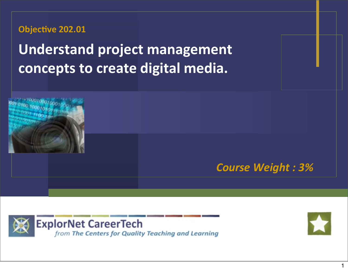**Objective 202.01** 

**Understand project management concepts to create digital media.**







1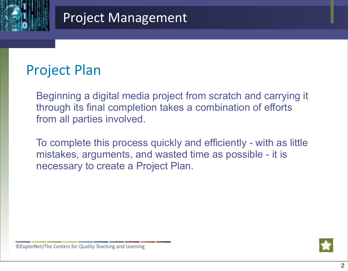

## **Project Plan**

Beginning a digital media project from scratch and carrying it through its final completion takes a combination of efforts from all parties involved.

To complete this process quickly and efficiently - with as little mistakes, arguments, and wasted time as possible - it is necessary to create a Project Plan.



©ExplorNet/The Centers for Quality Teaching and Learning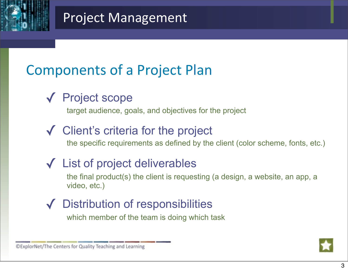

# Components of a Project Plan

✓ Project scope

target audience, goals, and objectives for the project

#### ✓ Client's criteria for the project

the specific requirements as defined by the client (color scheme, fonts, etc.)

### ✓ List of project deliverables

the final product(s) the client is requesting (a design, a website, an app, a video, etc.)

#### ✓ Distribution of responsibilities

which member of the team is doing which task



©ExplorNet/The Centers for Quality Teaching and Learning